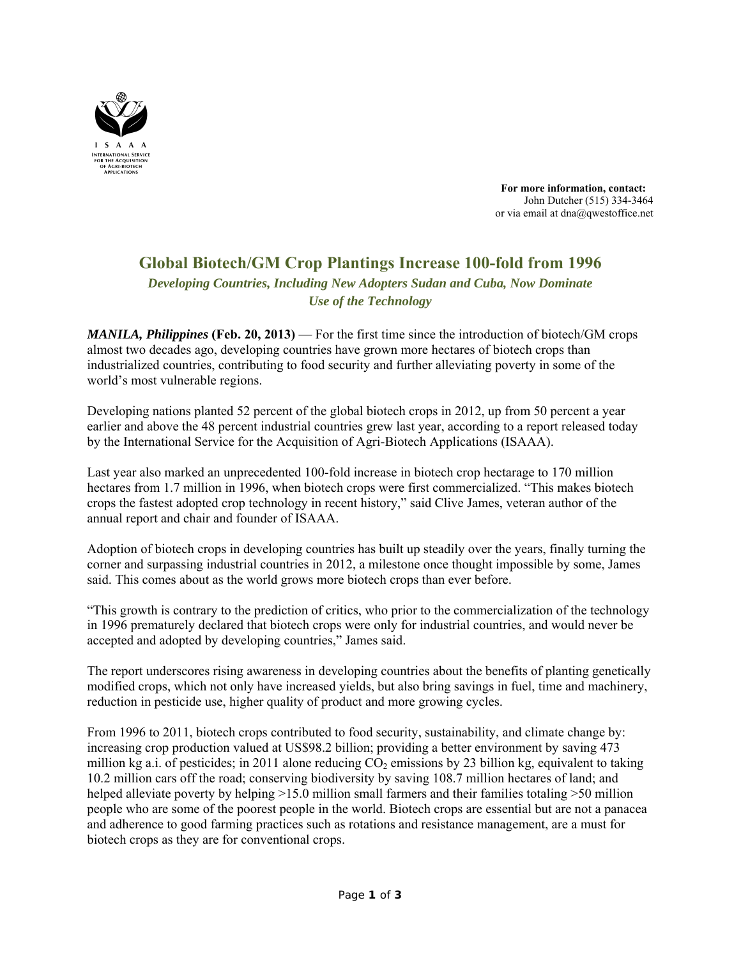

 **For more information, contact:** John Dutcher (515) 334-3464 or via email at dna@qwestoffice.net

# **Global Biotech/GM Crop Plantings Increase 100-fold from 1996**

*Developing Countries, Including New Adopters Sudan and Cuba, Now Dominate Use of the Technology* 

*MANILA, Philippines* **(Feb. 20, 2013)** — For the first time since the introduction of biotech/GM crops almost two decades ago, developing countries have grown more hectares of biotech crops than industrialized countries, contributing to food security and further alleviating poverty in some of the world's most vulnerable regions.

Developing nations planted 52 percent of the global biotech crops in 2012, up from 50 percent a year earlier and above the 48 percent industrial countries grew last year, according to a report released today by the International Service for the Acquisition of Agri-Biotech Applications (ISAAA).

Last year also marked an unprecedented 100-fold increase in biotech crop hectarage to 170 million hectares from 1.7 million in 1996, when biotech crops were first commercialized. "This makes biotech crops the fastest adopted crop technology in recent history," said Clive James, veteran author of the annual report and chair and founder of ISAAA.

Adoption of biotech crops in developing countries has built up steadily over the years, finally turning the corner and surpassing industrial countries in 2012, a milestone once thought impossible by some, James said. This comes about as the world grows more biotech crops than ever before.

"This growth is contrary to the prediction of critics, who prior to the commercialization of the technology in 1996 prematurely declared that biotech crops were only for industrial countries, and would never be accepted and adopted by developing countries," James said.

The report underscores rising awareness in developing countries about the benefits of planting genetically modified crops, which not only have increased yields, but also bring savings in fuel, time and machinery, reduction in pesticide use, higher quality of product and more growing cycles.

From 1996 to 2011, biotech crops contributed to food security, sustainability, and climate change by: increasing crop production valued at US\$98.2 billion; providing a better environment by saving 473 million kg a.i. of pesticides; in 2011 alone reducing  $CO<sub>2</sub>$  emissions by 23 billion kg, equivalent to taking 10.2 million cars off the road; conserving biodiversity by saving 108.7 million hectares of land; and helped alleviate poverty by helping  $>15.0$  million small farmers and their families totaling  $>50$  million people who are some of the poorest people in the world. Biotech crops are essential but are not a panacea and adherence to good farming practices such as rotations and resistance management, are a must for biotech crops as they are for conventional crops.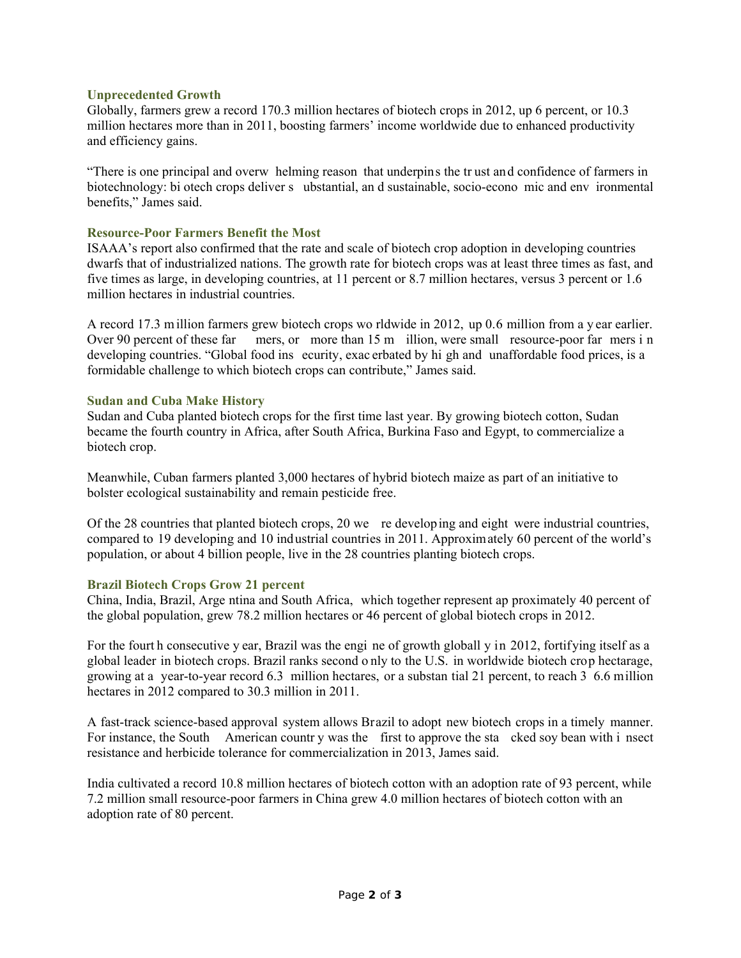## **Unprecedented Growth**

Globally, farmers grew a record 170.3 million hectares of biotech crops in 2012, up 6 percent, or 10.3 million hectares more than in 2011, boosting farmers' income worldwide due to enhanced productivity and efficiency gains.

"There is one principal and overw helming reason that underpins the tr ust and confidence of farmers in biotechnology: bi otech crops deliver s ubstantial, an d sustainable, socio-econo mic and env ironmental benefits," James said.

## **Resource-Poor Farmers Benefit the Most**

ISAAA's report also confirmed that the rate and scale of biotech crop adoption in developing countries dwarfs that of industrialized nations. The growth rate for biotech crops was at least three times as fast, and five times as large, in developing countries, at 11 percent or 8.7 million hectares, versus 3 percent or 1.6 million hectares in industrial countries.

A record 17.3 m illion farmers grew biotech crops wo rldwide in 2012, up 0.6 million from a y ear earlier. Over 90 percent of these far mers, or more than 15 m illion, were small resource-poor far mers i n developing countries. "Global food ins ecurity, exac erbated by hi gh and unaffordable food prices, is a formidable challenge to which biotech crops can contribute," James said.

#### **Sudan and Cuba Make History**

Sudan and Cuba planted biotech crops for the first time last year. By growing biotech cotton, Sudan became the fourth country in Africa, after South Africa, Burkina Faso and Egypt, to commercialize a biotech crop.

Meanwhile, Cuban farmers planted 3,000 hectares of hybrid biotech maize as part of an initiative to bolster ecological sustainability and remain pesticide free.

Of the 28 countries that planted biotech crops, 20 we re developing and eight were industrial countries, compared to 19 developing and 10 industrial countries in 2011. Approximately 60 percent of the world's population, or about 4 billion people, live in the 28 countries planting biotech crops.

#### **Brazil Biotech Crops Grow 21 percent**

China, India, Brazil, Arge ntina and South Africa, which together represent ap proximately 40 percent of the global population, grew 78.2 million hectares or 46 percent of global biotech crops in 2012.

For the fourt h consecutive y ear, Brazil was the engi ne of growth globall y in 2012, fortifying itself as a global leader in biotech crops. Brazil ranks second o nly to the U.S. in worldwide biotech crop hectarage, growing at a year-to-year record 6.3 million hectares, or a substan tial 21 percent, to reach 3 6.6 million hectares in 2012 compared to 30.3 million in 2011.

A fast-track science-based approval system allows Brazil to adopt new biotech crops in a timely manner. For instance, the South American countr y was the first to approve the sta cked soy bean with i nsect resistance and herbicide tolerance for commercialization in 2013, James said.

India cultivated a record 10.8 million hectares of biotech cotton with an adoption rate of 93 percent, while 7.2 million small resource-poor farmers in China grew 4.0 million hectares of biotech cotton with an adoption rate of 80 percent.